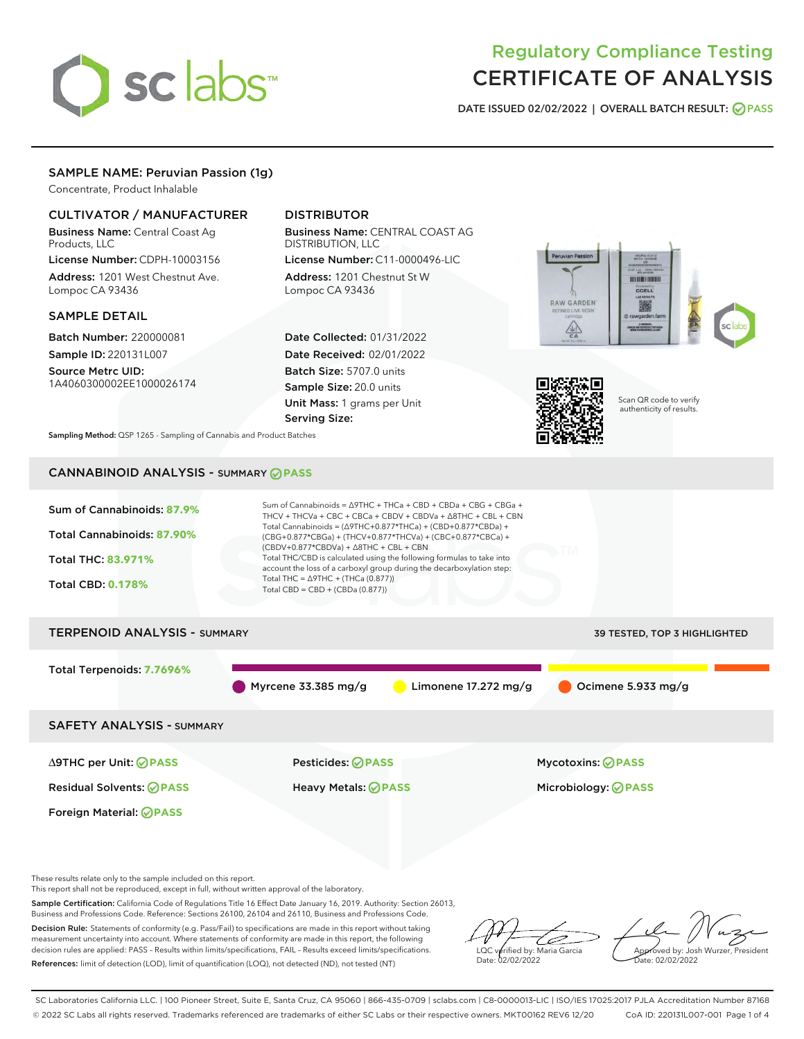

# Regulatory Compliance Testing CERTIFICATE OF ANALYSIS

DATE ISSUED 02/02/2022 | OVERALL BATCH RESULT: @ PASS

## SAMPLE NAME: Peruvian Passion (1g)

Concentrate, Product Inhalable

## CULTIVATOR / MANUFACTURER

Business Name: Central Coast Ag Products, LLC

License Number: CDPH-10003156 Address: 1201 West Chestnut Ave. Lompoc CA 93436

#### SAMPLE DETAIL

Batch Number: 220000081 Sample ID: 220131L007

Source Metrc UID: 1A4060300002EE1000026174

# DISTRIBUTOR

Business Name: CENTRAL COAST AG DISTRIBUTION, LLC License Number: C11-0000496-LIC

Address: 1201 Chestnut St W Lompoc CA 93436

Date Collected: 01/31/2022 Date Received: 02/01/2022 Batch Size: 5707.0 units Sample Size: 20.0 units Unit Mass: 1 grams per Unit Serving Size:





Scan QR code to verify authenticity of results.

Sampling Method: QSP 1265 - Sampling of Cannabis and Product Batches

## CANNABINOID ANALYSIS - SUMMARY **PASS**



These results relate only to the sample included on this report.

This report shall not be reproduced, except in full, without written approval of the laboratory.

Sample Certification: California Code of Regulations Title 16 Effect Date January 16, 2019. Authority: Section 26013, Business and Professions Code. Reference: Sections 26100, 26104 and 26110, Business and Professions Code.

Decision Rule: Statements of conformity (e.g. Pass/Fail) to specifications are made in this report without taking measurement uncertainty into account. Where statements of conformity are made in this report, the following decision rules are applied: PASS – Results within limits/specifications, FAIL – Results exceed limits/specifications. References: limit of detection (LOD), limit of quantification (LOQ), not detected (ND), not tested (NT)

ىر LQC verified by: Maria Garcia Date: 02/02/2022

Approved by: Josh Wurzer, President ate: 02/02/2022

SC Laboratories California LLC. | 100 Pioneer Street, Suite E, Santa Cruz, CA 95060 | 866-435-0709 | sclabs.com | C8-0000013-LIC | ISO/IES 17025:2017 PJLA Accreditation Number 87168 © 2022 SC Labs all rights reserved. Trademarks referenced are trademarks of either SC Labs or their respective owners. MKT00162 REV6 12/20 CoA ID: 220131L007-001 Page 1 of 4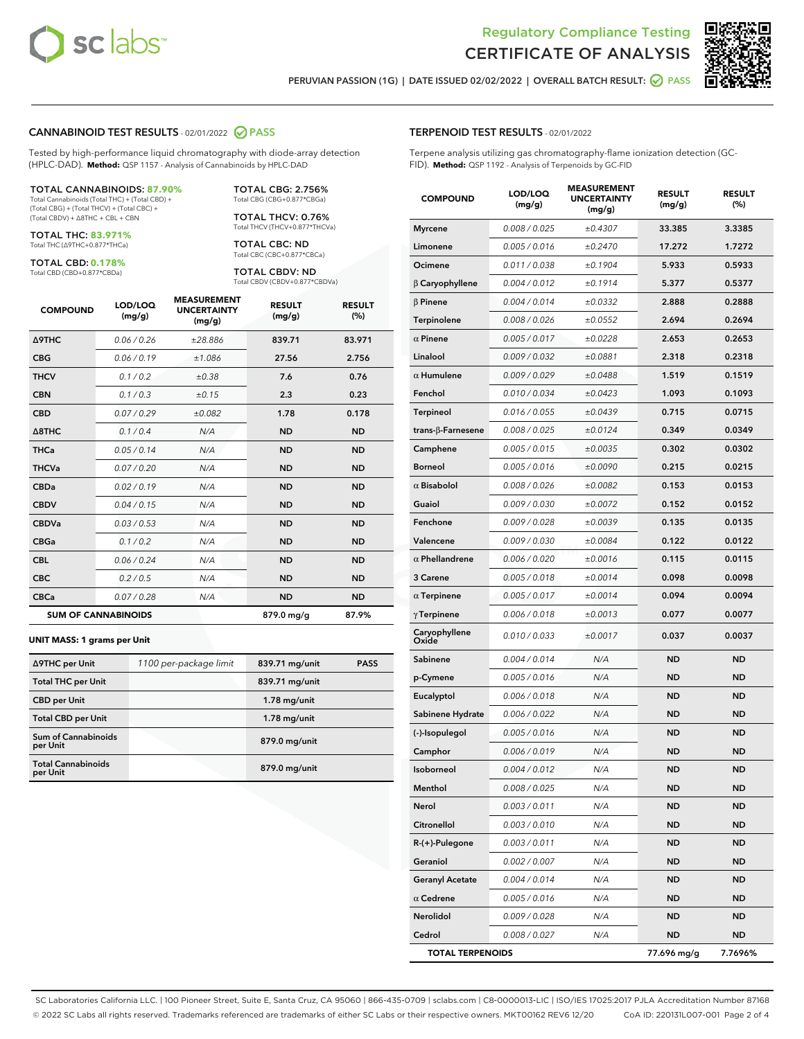



PERUVIAN PASSION (1G) | DATE ISSUED 02/02/2022 | OVERALL BATCH RESULT:  $\bigcirc$  PASS

## CANNABINOID TEST RESULTS - 02/01/2022 2 PASS

Tested by high-performance liquid chromatography with diode-array detection (HPLC-DAD). **Method:** QSP 1157 - Analysis of Cannabinoids by HPLC-DAD

#### TOTAL CANNABINOIDS: **87.90%**

Total Cannabinoids (Total THC) + (Total CBD) + (Total CBG) + (Total THCV) + (Total CBC) + (Total CBDV) + ∆8THC + CBL + CBN

TOTAL THC: **83.971%** Total THC (∆9THC+0.877\*THCa)

TOTAL CBD: **0.178%**

Total CBD (CBD+0.877\*CBDa)

TOTAL CBG: 2.756% Total CBG (CBG+0.877\*CBGa)

TOTAL THCV: 0.76% Total THCV (THCV+0.877\*THCVa)

TOTAL CBC: ND Total CBC (CBC+0.877\*CBCa)

TOTAL CBDV: ND Total CBDV (CBDV+0.877\*CBDVa)

| <b>COMPOUND</b>            | LOD/LOQ<br>(mg/g) | <b>MEASUREMENT</b><br><b>UNCERTAINTY</b><br>(mg/g) | <b>RESULT</b><br>(mg/g) | <b>RESULT</b><br>(%) |
|----------------------------|-------------------|----------------------------------------------------|-------------------------|----------------------|
| <b>A9THC</b>               | 0.06/0.26         | ±28.886                                            | 839.71                  | 83.971               |
| <b>CBG</b>                 | 0.06/0.19         | ±1.086                                             | 27.56                   | 2.756                |
| <b>THCV</b>                | 0.1 / 0.2         | ±0.38                                              | 7.6                     | 0.76                 |
| <b>CBN</b>                 | 0.1/0.3           | ±0.15                                              | 2.3                     | 0.23                 |
| <b>CBD</b>                 | 0.07/0.29         | ±0.082                                             | 1.78                    | 0.178                |
| $\triangle$ 8THC           | 0.1/0.4           | N/A                                                | <b>ND</b>               | <b>ND</b>            |
| <b>THCa</b>                | 0.05/0.14         | N/A                                                | <b>ND</b>               | <b>ND</b>            |
| <b>THCVa</b>               | 0.07/0.20         | N/A                                                | <b>ND</b>               | <b>ND</b>            |
| <b>CBDa</b>                | 0.02 / 0.19       | N/A                                                | <b>ND</b>               | <b>ND</b>            |
| <b>CBDV</b>                | 0.04/0.15         | N/A                                                | <b>ND</b>               | <b>ND</b>            |
| <b>CBDVa</b>               | 0.03/0.53         | N/A                                                | <b>ND</b>               | <b>ND</b>            |
| <b>CBGa</b>                | 0.1 / 0.2         | N/A                                                | <b>ND</b>               | <b>ND</b>            |
| <b>CBL</b>                 | 0.06 / 0.24       | N/A                                                | <b>ND</b>               | <b>ND</b>            |
| <b>CBC</b>                 | 0.2 / 0.5         | N/A                                                | <b>ND</b>               | <b>ND</b>            |
| <b>CBCa</b>                | 0.07 / 0.28       | N/A                                                | <b>ND</b>               | <b>ND</b>            |
| <b>SUM OF CANNABINOIDS</b> |                   |                                                    | 879.0 mg/g              | 87.9%                |

#### **UNIT MASS: 1 grams per Unit**

| ∆9THC per Unit                        | 1100 per-package limit | 839.71 mg/unit | <b>PASS</b> |
|---------------------------------------|------------------------|----------------|-------------|
| <b>Total THC per Unit</b>             |                        | 839.71 mg/unit |             |
| <b>CBD</b> per Unit                   |                        | $1.78$ mg/unit |             |
| <b>Total CBD per Unit</b>             |                        | $1.78$ mg/unit |             |
| Sum of Cannabinoids<br>per Unit       |                        | 879.0 mg/unit  |             |
| <b>Total Cannabinoids</b><br>per Unit |                        | 879.0 mg/unit  |             |

#### TERPENOID TEST RESULTS - 02/01/2022

Terpene analysis utilizing gas chromatography-flame ionization detection (GC-FID). **Method:** QSP 1192 - Analysis of Terpenoids by GC-FID

| <b>COMPOUND</b>         | LOD/LOQ<br>(mg/g) | <b>MEASUREMENT</b><br><b>UNCERTAINTY</b><br>(mg/g) | <b>RESULT</b><br>(mg/g) | <b>RESULT</b><br>(%) |
|-------------------------|-------------------|----------------------------------------------------|-------------------------|----------------------|
| <b>Myrcene</b>          | 0.008 / 0.025     | ±0.4307                                            | 33.385                  | 3.3385               |
| Limonene                | 0.005 / 0.016     | ±0.2470                                            | 17.272                  | 1.7272               |
| Ocimene                 | 0.011 / 0.038     | ±0.1904                                            | 5.933                   | 0.5933               |
| $\beta$ Caryophyllene   | 0.004 / 0.012     | ±0.1914                                            | 5.377                   | 0.5377               |
| $\beta$ Pinene          | 0.004 / 0.014     | ±0.0332                                            | 2.888                   | 0.2888               |
| Terpinolene             | 0.008 / 0.026     | ±0.0552                                            | 2.694                   | 0.2694               |
| $\alpha$ Pinene         | 0.005 / 0.017     | ±0.0228                                            | 2.653                   | 0.2653               |
| Linalool                | 0.009 / 0.032     | ±0.0881                                            | 2.318                   | 0.2318               |
| $\alpha$ Humulene       | 0.009 / 0.029     | ±0.0488                                            | 1.519                   | 0.1519               |
| Fenchol                 | 0.010 / 0.034     | ±0.0423                                            | 1.093                   | 0.1093               |
| Terpineol               | 0.016 / 0.055     | ±0.0439                                            | 0.715                   | 0.0715               |
| trans-β-Farnesene       | 0.008 / 0.025     | ±0.0124                                            | 0.349                   | 0.0349               |
| Camphene                | 0.005 / 0.015     | ±0.0035                                            | 0.302                   | 0.0302               |
| <b>Borneol</b>          | 0.005 / 0.016     | ±0.0090                                            | 0.215                   | 0.0215               |
| $\alpha$ Bisabolol      | 0.008 / 0.026     | ±0.0082                                            | 0.153                   | 0.0153               |
| Guaiol                  | 0.009 / 0.030     | ±0.0072                                            | 0.152                   | 0.0152               |
| Fenchone                | 0.009 / 0.028     | ±0.0039                                            | 0.135                   | 0.0135               |
| Valencene               | 0.009 / 0.030     | ±0.0084                                            | 0.122                   | 0.0122               |
| $\alpha$ Phellandrene   | 0.006 / 0.020     | ±0.0016                                            | 0.115                   | 0.0115               |
| 3 Carene                | 0.005 / 0.018     | ±0.0014                                            | 0.098                   | 0.0098               |
| $\alpha$ Terpinene      | 0.005 / 0.017     | ±0.0014                                            | 0.094                   | 0.0094               |
| $\gamma$ Terpinene      | 0.006 / 0.018     | ±0.0013                                            | 0.077                   | 0.0077               |
| Caryophyllene<br>Oxide  | 0.010 / 0.033     | ±0.0017                                            | 0.037                   | 0.0037               |
| Sabinene                | 0.004 / 0.014     | N/A                                                | <b>ND</b>               | ND                   |
| p-Cymene                | 0.005 / 0.016     | N/A                                                | <b>ND</b>               | <b>ND</b>            |
| Eucalyptol              | 0.006 / 0.018     | N/A                                                | <b>ND</b>               | ND                   |
| Sabinene Hydrate        | 0.006 / 0.022     | N/A                                                | ND                      | ND                   |
| (-)-Isopulegol          | 0.005 / 0.016     | N/A                                                | <b>ND</b>               | <b>ND</b>            |
| Camphor                 | 0.006 / 0.019     | N/A                                                | ND                      | ND                   |
| <b>Isoborneol</b>       | 0.004 / 0.012     | N/A                                                | <b>ND</b>               | <b>ND</b>            |
| Menthol                 | 0.008 / 0.025     | N/A                                                | ND                      | ND                   |
| Nerol                   | 0.003 / 0.011     | N/A                                                | ND                      | ND                   |
| Citronellol             | 0.003 / 0.010     | N/A                                                | ND                      | ND                   |
| R-(+)-Pulegone          | 0.003 / 0.011     | N/A                                                | <b>ND</b>               | ND                   |
| Geraniol                | 0.002 / 0.007     | N/A                                                | ND                      | ND                   |
| <b>Geranyl Acetate</b>  | 0.004 / 0.014     | N/A                                                | ND                      | ND                   |
| $\alpha$ Cedrene        | 0.005 / 0.016     | N/A                                                | <b>ND</b>               | ND                   |
| Nerolidol               | 0.009/0.028       | N/A                                                | ND                      | ND                   |
| Cedrol                  | 0.008 / 0.027     | N/A                                                | <b>ND</b>               | ND                   |
| <b>TOTAL TERPENOIDS</b> |                   |                                                    | 77.696 mg/g             | 7.7696%              |

SC Laboratories California LLC. | 100 Pioneer Street, Suite E, Santa Cruz, CA 95060 | 866-435-0709 | sclabs.com | C8-0000013-LIC | ISO/IES 17025:2017 PJLA Accreditation Number 87168 © 2022 SC Labs all rights reserved. Trademarks referenced are trademarks of either SC Labs or their respective owners. MKT00162 REV6 12/20 CoA ID: 220131L007-001 Page 2 of 4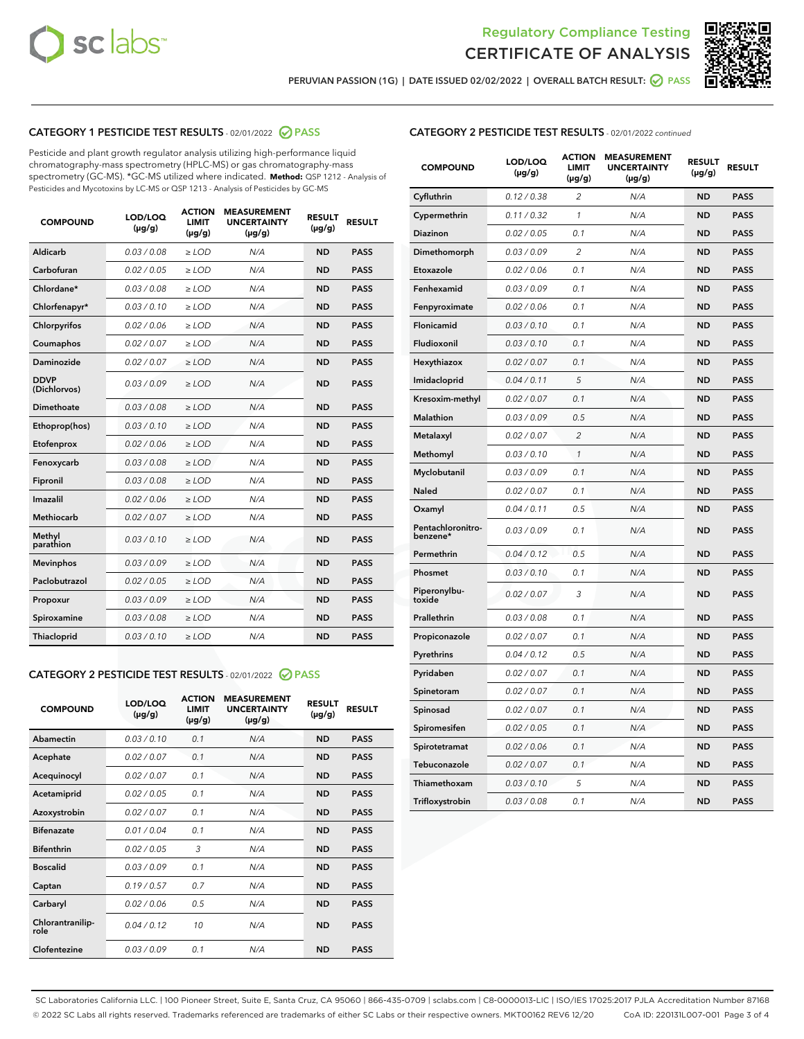



PERUVIAN PASSION (1G) | DATE ISSUED 02/02/2022 | OVERALL BATCH RESULT: @ PASS

## CATEGORY 1 PESTICIDE TEST RESULTS - 02/01/2022 2 PASS

Pesticide and plant growth regulator analysis utilizing high-performance liquid chromatography-mass spectrometry (HPLC-MS) or gas chromatography-mass spectrometry (GC-MS). \*GC-MS utilized where indicated. **Method:** QSP 1212 - Analysis of Pesticides and Mycotoxins by LC-MS or QSP 1213 - Analysis of Pesticides by GC-MS

| <b>COMPOUND</b>             | LOD/LOQ<br>$(\mu g/g)$ | <b>ACTION</b><br><b>LIMIT</b><br>$(\mu g/g)$ | <b>MEASUREMENT</b><br><b>UNCERTAINTY</b><br>$(\mu g/g)$ | <b>RESULT</b><br>$(\mu g/g)$ | <b>RESULT</b> |
|-----------------------------|------------------------|----------------------------------------------|---------------------------------------------------------|------------------------------|---------------|
| Aldicarb                    | 0.03 / 0.08            | $\geq$ LOD                                   | N/A                                                     | <b>ND</b>                    | <b>PASS</b>   |
| Carbofuran                  | 0.02 / 0.05            | $>$ LOD                                      | N/A                                                     | <b>ND</b>                    | <b>PASS</b>   |
| Chlordane*                  | 0.03 / 0.08            | $\ge$ LOD                                    | N/A                                                     | <b>ND</b>                    | <b>PASS</b>   |
| Chlorfenapyr*               | 0.03/0.10              | $>$ LOD                                      | N/A                                                     | <b>ND</b>                    | <b>PASS</b>   |
| Chlorpyrifos                | 0.02 / 0.06            | ≥ LOD                                        | N/A                                                     | <b>ND</b>                    | <b>PASS</b>   |
| Coumaphos                   | 0.02 / 0.07            | $\ge$ LOD                                    | N/A                                                     | <b>ND</b>                    | <b>PASS</b>   |
| Daminozide                  | 0.02 / 0.07            | $\geq$ LOD                                   | N/A                                                     | <b>ND</b>                    | <b>PASS</b>   |
| <b>DDVP</b><br>(Dichlorvos) | 0.03/0.09              | $\geq$ LOD                                   | N/A                                                     | <b>ND</b>                    | <b>PASS</b>   |
| Dimethoate                  | 0.03 / 0.08            | $>$ LOD                                      | N/A                                                     | <b>ND</b>                    | <b>PASS</b>   |
| Ethoprop(hos)               | 0.03/0.10              | $\ge$ LOD                                    | N/A                                                     | <b>ND</b>                    | <b>PASS</b>   |
| Etofenprox                  | 0.02 / 0.06            | $>$ LOD                                      | N/A                                                     | <b>ND</b>                    | <b>PASS</b>   |
| Fenoxycarb                  | 0.03 / 0.08            | $\geq$ LOD                                   | N/A                                                     | <b>ND</b>                    | <b>PASS</b>   |
| Fipronil                    | 0.03/0.08              | $>$ LOD                                      | N/A                                                     | <b>ND</b>                    | <b>PASS</b>   |
| Imazalil                    | 0.02 / 0.06            | $\geq$ LOD                                   | N/A                                                     | <b>ND</b>                    | <b>PASS</b>   |
| <b>Methiocarb</b>           | 0.02 / 0.07            | $\ge$ LOD                                    | N/A                                                     | <b>ND</b>                    | <b>PASS</b>   |
| Methyl<br>parathion         | 0.03/0.10              | $\geq$ LOD                                   | N/A                                                     | <b>ND</b>                    | <b>PASS</b>   |
| <b>Mevinphos</b>            | 0.03/0.09              | $>$ LOD                                      | N/A                                                     | <b>ND</b>                    | <b>PASS</b>   |
| Paclobutrazol               | 0.02 / 0.05            | $\geq$ LOD                                   | N/A                                                     | <b>ND</b>                    | <b>PASS</b>   |
| Propoxur                    | 0.03/0.09              | $\ge$ LOD                                    | N/A                                                     | <b>ND</b>                    | <b>PASS</b>   |
| Spiroxamine                 | 0.03 / 0.08            | $\ge$ LOD                                    | N/A                                                     | <b>ND</b>                    | <b>PASS</b>   |
| Thiacloprid                 | 0.03/0.10              | $\geq$ LOD                                   | N/A                                                     | <b>ND</b>                    | <b>PASS</b>   |

#### CATEGORY 2 PESTICIDE TEST RESULTS - 02/01/2022 2 PASS

| <b>COMPOUND</b>          | LOD/LOQ<br>$(\mu g/g)$ | <b>ACTION</b><br>LIMIT<br>$(\mu g/g)$ | <b>MEASUREMENT</b><br><b>UNCERTAINTY</b><br>$(\mu g/g)$ | <b>RESULT</b><br>$(\mu g/g)$ | <b>RESULT</b> |
|--------------------------|------------------------|---------------------------------------|---------------------------------------------------------|------------------------------|---------------|
| Abamectin                | 0.03/0.10              | 0.1                                   | N/A                                                     | <b>ND</b>                    | <b>PASS</b>   |
| Acephate                 | 0.02/0.07              | 0.1                                   | N/A                                                     | <b>ND</b>                    | <b>PASS</b>   |
| Acequinocyl              | 0.02/0.07              | 0.1                                   | N/A                                                     | <b>ND</b>                    | <b>PASS</b>   |
| Acetamiprid              | 0.02/0.05              | 0.1                                   | N/A                                                     | <b>ND</b>                    | <b>PASS</b>   |
| Azoxystrobin             | 0.02/0.07              | 0.1                                   | N/A                                                     | <b>ND</b>                    | <b>PASS</b>   |
| <b>Bifenazate</b>        | 0.01 / 0.04            | 0.1                                   | N/A                                                     | <b>ND</b>                    | <b>PASS</b>   |
| <b>Bifenthrin</b>        | 0.02/0.05              | 3                                     | N/A                                                     | <b>ND</b>                    | <b>PASS</b>   |
| <b>Boscalid</b>          | 0.03/0.09              | 0.1                                   | N/A                                                     | <b>ND</b>                    | <b>PASS</b>   |
| Captan                   | 0.19/0.57              | 0.7                                   | N/A                                                     | <b>ND</b>                    | <b>PASS</b>   |
| Carbaryl                 | 0.02/0.06              | 0.5                                   | N/A                                                     | <b>ND</b>                    | <b>PASS</b>   |
| Chlorantranilip-<br>role | 0.04/0.12              | 10                                    | N/A                                                     | <b>ND</b>                    | <b>PASS</b>   |
| Clofentezine             | 0.03/0.09              | 0.1                                   | N/A                                                     | <b>ND</b>                    | <b>PASS</b>   |

| <b>COMPOUND</b>               | LOD/LOQ<br>(µg/g) | <b>ACTION</b><br>LIMIT<br>$(\mu g/g)$ | <b>MEASUREMENT</b><br><b>UNCERTAINTY</b><br>$(\mu g/g)$ | <b>RESULT</b><br>(µg/g) | <b>RESULT</b> |
|-------------------------------|-------------------|---------------------------------------|---------------------------------------------------------|-------------------------|---------------|
| Cyfluthrin                    | 0.12 / 0.38       | $\overline{2}$                        | N/A                                                     | <b>ND</b>               | <b>PASS</b>   |
| Cypermethrin                  | 0.11 / 0.32       | 1                                     | N/A                                                     | <b>ND</b>               | <b>PASS</b>   |
| Diazinon                      | 0.02 / 0.05       | 0.1                                   | N/A                                                     | <b>ND</b>               | <b>PASS</b>   |
| Dimethomorph                  | 0.03/0.09         | $\overline{2}$                        | N/A                                                     | <b>ND</b>               | <b>PASS</b>   |
| Etoxazole                     | 0.02 / 0.06       | 0.1                                   | N/A                                                     | <b>ND</b>               | <b>PASS</b>   |
| Fenhexamid                    | 0.03 / 0.09       | 0.1                                   | N/A                                                     | <b>ND</b>               | <b>PASS</b>   |
| Fenpyroximate                 | 0.02 / 0.06       | 0.1                                   | N/A                                                     | <b>ND</b>               | <b>PASS</b>   |
| Flonicamid                    | 0.03 / 0.10       | 0.1                                   | N/A                                                     | <b>ND</b>               | <b>PASS</b>   |
| Fludioxonil                   | 0.03 / 0.10       | 0.1                                   | N/A                                                     | <b>ND</b>               | <b>PASS</b>   |
| Hexythiazox                   | 0.02 / 0.07       | 0.1                                   | N/A                                                     | <b>ND</b>               | <b>PASS</b>   |
| Imidacloprid                  | 0.04 / 0.11       | 5                                     | N/A                                                     | <b>ND</b>               | <b>PASS</b>   |
| Kresoxim-methyl               | 0.02 / 0.07       | 0.1                                   | N/A                                                     | <b>ND</b>               | <b>PASS</b>   |
| Malathion                     | 0.03 / 0.09       | 0.5                                   | N/A                                                     | <b>ND</b>               | <b>PASS</b>   |
| Metalaxyl                     | 0.02 / 0.07       | $\overline{c}$                        | N/A                                                     | <b>ND</b>               | <b>PASS</b>   |
| Methomyl                      | 0.03 / 0.10       | $\mathcal{I}$                         | N/A                                                     | <b>ND</b>               | <b>PASS</b>   |
| Myclobutanil                  | 0.03/0.09         | 0.1                                   | N/A                                                     | <b>ND</b>               | <b>PASS</b>   |
| Naled                         | 0.02 / 0.07       | 0.1                                   | N/A                                                     | ND                      | <b>PASS</b>   |
| Oxamyl                        | 0.04 / 0.11       | 0.5                                   | N/A                                                     | <b>ND</b>               | <b>PASS</b>   |
| Pentachloronitro-<br>benzene* | 0.03 / 0.09       | 0.1                                   | N/A                                                     | <b>ND</b>               | <b>PASS</b>   |
| Permethrin                    | 0.04/0.12         | 0.5                                   | N/A                                                     | <b>ND</b>               | <b>PASS</b>   |
| Phosmet                       | 0.03 / 0.10       | 0.1                                   | N/A                                                     | <b>ND</b>               | <b>PASS</b>   |
| Piperonylbu-<br>toxide        | 0.02 / 0.07       | 3                                     | N/A                                                     | <b>ND</b>               | <b>PASS</b>   |
| Prallethrin                   | 0.03 / 0.08       | 0.1                                   | N/A                                                     | <b>ND</b>               | <b>PASS</b>   |
| Propiconazole                 | 0.02 / 0.07       | 0.1                                   | N/A                                                     | <b>ND</b>               | <b>PASS</b>   |
| Pyrethrins                    | 0.04 / 0.12       | 0.5                                   | N/A                                                     | <b>ND</b>               | <b>PASS</b>   |
| Pyridaben                     | 0.02 / 0.07       | 0.1                                   | N/A                                                     | <b>ND</b>               | <b>PASS</b>   |
| Spinetoram                    | 0.02 / 0.07       | 0.1                                   | N/A                                                     | ND                      | <b>PASS</b>   |
| Spinosad                      | 0.02 / 0.07       | 0.1                                   | N/A                                                     | <b>ND</b>               | <b>PASS</b>   |
| Spiromesifen                  | 0.02 / 0.05       | 0.1                                   | N/A                                                     | <b>ND</b>               | <b>PASS</b>   |
| Spirotetramat                 | 0.02 / 0.06       | 0.1                                   | N/A                                                     | <b>ND</b>               | <b>PASS</b>   |
| Tebuconazole                  | 0.02 / 0.07       | 0.1                                   | N/A                                                     | <b>ND</b>               | <b>PASS</b>   |
| Thiamethoxam                  | 0.03 / 0.10       | 5                                     | N/A                                                     | <b>ND</b>               | <b>PASS</b>   |
| Trifloxystrobin               | 0.03 / 0.08       | 0.1                                   | N/A                                                     | <b>ND</b>               | <b>PASS</b>   |

SC Laboratories California LLC. | 100 Pioneer Street, Suite E, Santa Cruz, CA 95060 | 866-435-0709 | sclabs.com | C8-0000013-LIC | ISO/IES 17025:2017 PJLA Accreditation Number 87168 © 2022 SC Labs all rights reserved. Trademarks referenced are trademarks of either SC Labs or their respective owners. MKT00162 REV6 12/20 CoA ID: 220131L007-001 Page 3 of 4